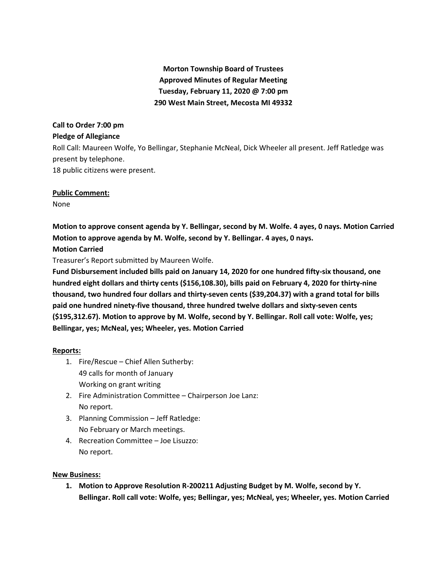# **Morton Township Board of Trustees Approved Minutes of Regular Meeting Tuesday, February 11, 2020 @ 7:00 pm 290 West Main Street, Mecosta MI 49332**

### **Call to Order 7:00 pm**

### **Pledge of Allegiance**

Roll Call: Maureen Wolfe, Yo Bellingar, Stephanie McNeal, Dick Wheeler all present. Jeff Ratledge was present by telephone.

18 public citizens were present.

### **Public Comment:**

None

**Motion to approve consent agenda by Y. Bellingar, second by M. Wolfe. 4 ayes, 0 nays. Motion Carried Motion to approve agenda by M. Wolfe, second by Y. Bellingar. 4 ayes, 0 nays.** 

## **Motion Carried**

Treasurer's Report submitted by Maureen Wolfe.

**Fund Disbursement included bills paid on January 14, 2020 for one hundred fifty-six thousand, one hundred eight dollars and thirty cents (\$156,108.30), bills paid on February 4, 2020 for thirty-nine thousand, two hundred four dollars and thirty-seven cents (\$39,204.37) with a grand total for bills paid one hundred ninety-five thousand, three hundred twelve dollars and sixty-seven cents (\$195,312.67). Motion to approve by M. Wolfe, second by Y. Bellingar. Roll call vote: Wolfe, yes; Bellingar, yes; McNeal, yes; Wheeler, yes. Motion Carried**

### **Reports:**

- 1. Fire/Rescue Chief Allen Sutherby: 49 calls for month of January Working on grant writing
- 2. Fire Administration Committee Chairperson Joe Lanz: No report.
- 3. Planning Commission Jeff Ratledge: No February or March meetings.
- 4. Recreation Committee Joe Lisuzzo: No report.

### **New Business:**

**1. Motion to Approve Resolution R-200211 Adjusting Budget by M. Wolfe, second by Y. Bellingar. Roll call vote: Wolfe, yes; Bellingar, yes; McNeal, yes; Wheeler, yes. Motion Carried**